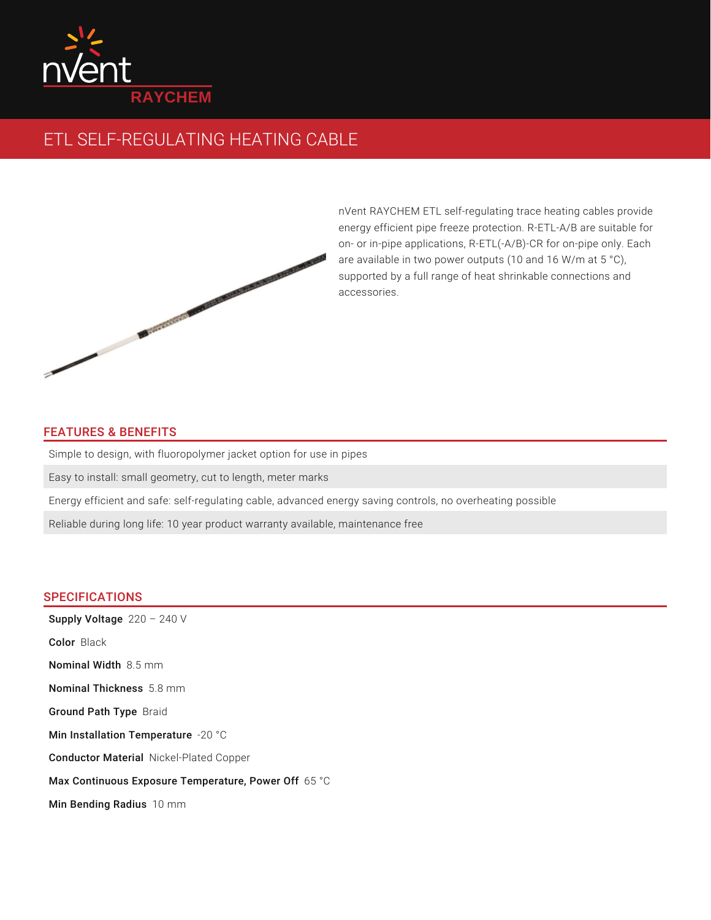

## ETL SELF-REGULATING HEATING CABLE



nVent RAYCHEM ETL self-regulating trace heating cables provide energy efficient pipe freeze protection. R-ETL-A/B are suitable for on- or in-pipe applications, R-ETL(-A/B)-CR for on-pipe only. Each are available in two power outputs (10 and 16 W/m at 5 °C), supported by a full range of heat shrinkable connections and accessories.

## FEATURES & BENEFITS

Simple to design, with fluoropolymer jacket option for use in pipes

Easy to install: small geometry, cut to length, meter marks

Energy efficient and safe: self-regulating cable, advanced energy saving controls, no overheating possible

Reliable during long life: 10 year product warranty available, maintenance free

## **SPECIFICATIONS**

Supply Voltage  $220 - 240$  V Color Black **Nominal Width** 8.5 mm **Nominal Thickness** 5.8 mm Ground Path Type Braid Min Installation Temperature -20  $^{\circ}\textrm{C}$ Conductor Material Nickel-Plated Copper Max Continuous Exposure Temperature, Power Off  $65\text{\textdegree C}$ Min Bending Radius 10 mm